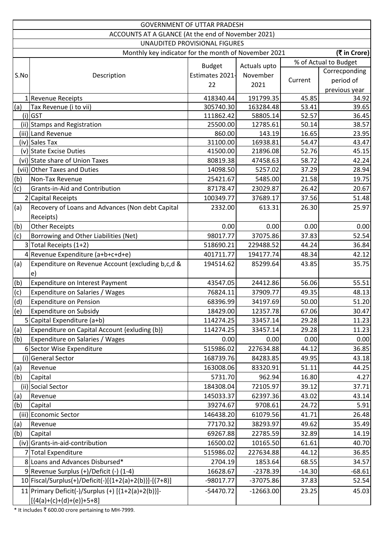|      | <b>GOVERNMENT OF UTTAR PRADESH</b>                       |                 |              |          |                       |  |  |
|------|----------------------------------------------------------|-----------------|--------------|----------|-----------------------|--|--|
|      | ACCOUNTS AT A GLANCE (At the end of November 2021)       |                 |              |          |                       |  |  |
|      | UNAUDITED PROVISIONAL FIGURES                            |                 |              |          |                       |  |  |
|      | Monthly key indicator for the month of November 2021     |                 |              |          | (₹ in Crore)          |  |  |
|      |                                                          | <b>Budget</b>   | Actuals upto |          | % of Actual to Budget |  |  |
| S.No | Description                                              | Estimates 2021- | November     |          | Correcponding         |  |  |
|      |                                                          | 22              | 2021         | Current  | period of             |  |  |
|      |                                                          |                 |              |          | previous year         |  |  |
|      | 1 Revenue Receipts                                       | 418340.44       | 191799.35    | 45.85    | 34.92                 |  |  |
| (a)  | Tax Revenue (i to vii)                                   | 305740.30       | 163284.48    | 53.41    | 39.65                 |  |  |
|      | $(i)$ GST                                                | 111862.42       | 58805.14     | 52.57    | 36.45                 |  |  |
|      | (ii) Stamps and Registration                             | 25500.00        | 12785.61     | 50.14    | 38.57                 |  |  |
|      | (iii) Land Revenue                                       | 860.00          | 143.19       | 16.65    | 23.95                 |  |  |
|      | (iv) Sales Tax                                           | 31100.00        | 16938.81     | 54.47    | 43.47                 |  |  |
|      | (v) State Excise Duties                                  | 41500.00        | 21896.08     | 52.76    | 45.15                 |  |  |
|      | (vi) State share of Union Taxes                          | 80819.38        | 47458.63     | 58.72    | 42.24                 |  |  |
|      | (vii) Other Taxes and Duties                             | 14098.50        | 5257.02      | 37.29    | 28.94                 |  |  |
| (b)  | Non-Tax Revenue                                          | 25421.67        | 5485.00      | 21.58    | 19.75                 |  |  |
| (c)  | <b>Grants-in-Aid and Contribution</b>                    | 87178.47        | 23029.87     | 26.42    | 20.67                 |  |  |
|      | 2 Capital Receipts                                       | 100349.77       | 37689.17     | 37.56    | 51.48                 |  |  |
| (a)  | Recovery of Loans and Advances (Non debt Capital         | 2332.00         | 613.31       | 26.30    | 25.97                 |  |  |
|      | Receipts)                                                |                 |              |          |                       |  |  |
| (b)  | <b>Other Receipts</b>                                    | 0.00            | 0.00         | 0.00     | 0.00                  |  |  |
| (c)  | Borrowing and Other Liabilities (Net)                    | 98017.77        | 37075.86     | 37.83    | 52.54                 |  |  |
|      | 3 Total Receipts (1+2)                                   | 518690.21       | 229488.52    | 44.24    | 36.84                 |  |  |
|      | 4 Revenue Expenditure (a+b+c+d+e)                        | 401711.77       | 194177.74    | 48.34    | 42.12                 |  |  |
| (a)  | Expenditure on Revenue Account (excluding b,c,d &        | 194514.62       | 85299.64     | 43.85    | 35.75                 |  |  |
|      | e)                                                       |                 |              |          |                       |  |  |
| (b)  | Expenditure on Interest Payment                          | 43547.05        | 24412.86     | 56.06    | 55.51                 |  |  |
| (c)  | Expenditure on Salaries / Wages                          | 76824.11        | 37909.77     | 49.35    | 48.13                 |  |  |
| (d)  | <b>Expenditure on Pension</b>                            | 68396.99        | 34197.69     | 50.00    | 51.20                 |  |  |
| (e)  | Expenditure on Subsidy                                   | 18429.00        | 12357.78     | 67.06    | 30.47                 |  |  |
|      | 5 Capital Expenditure (a+b)                              | 114274.25       | 33457.14     | 29.28    | 11.23                 |  |  |
| (a)  | Expenditure on Capital Account {exluding (b)}            | 114274.25       | 33457.14     | 29.28    | 11.23                 |  |  |
| (b)  | Expenditure on Salaries / Wages                          | 0.00            | 0.00         | 0.00     | 0.00                  |  |  |
|      | 6 Sector Wise Expenditure                                | 515986.02       | 227634.88    | 44.12    | 36.85                 |  |  |
| (i)  | <b>General Sector</b>                                    | 168739.76       | 84283.85     | 49.95    | 43.18                 |  |  |
| (a)  | Revenue                                                  | 163008.06       | 83320.91     | 51.11    | 44.25                 |  |  |
| (b)  | Capital                                                  | 5731.70         | 962.94       | 16.80    | 4.27                  |  |  |
|      | (ii) Social Sector                                       | 184308.04       | 72105.97     | 39.12    | 37.71                 |  |  |
| (a)  | Revenue                                                  | 145033.37       | 62397.36     | 43.02    | 43.14                 |  |  |
| (b)  | Capital                                                  | 39274.67        | 9708.61      | 24.72    | 5.91                  |  |  |
|      | (iii) Economic Sector                                    | 146438.20       | 61079.56     | 41.71    | 26.48                 |  |  |
| (a)  | Revenue                                                  | 77170.32        | 38293.97     | 49.62    | 35.49                 |  |  |
| (b)  | Capital                                                  | 69267.88        | 22785.59     | 32.89    | 14.19                 |  |  |
|      | (iv) Grants-in-aid-contribution                          | 16500.02        | 10165.50     | 61.61    | 40.70                 |  |  |
|      |                                                          | 515986.02       |              |          |                       |  |  |
|      | 7 Total Expenditure                                      |                 | 227634.88    | 44.12    | 36.85                 |  |  |
|      | 8 Loans and Advances Disbursed*                          | 2704.19         | 1853.64      | 68.55    | 34.57                 |  |  |
|      | 9 Revenue Surplus (+)/Deficit (-) (1-4)                  | 16628.67        | $-2378.39$   | $-14.30$ | $-68.61$              |  |  |
|      | 10   Fiscal/Surplus(+)/Deficit(-)[{1+2(a)+2(b)}]-[(7+8)] | -98017.77       | -37075.86    | 37.83    | 52.54                 |  |  |
|      | 11 Primary Deficit(-)/Surplus (+) $[{1+2(a)+2(b)}]$ -    | $-54470.72$     | $-12663.00$  | 23.25    | 45.03                 |  |  |
|      | $[(4(a)+(c)+(d)+(e))+5+8]$                               |                 |              |          |                       |  |  |

\* It includes  $\bar{t}$  600.00 crore pertaining to MH-7999.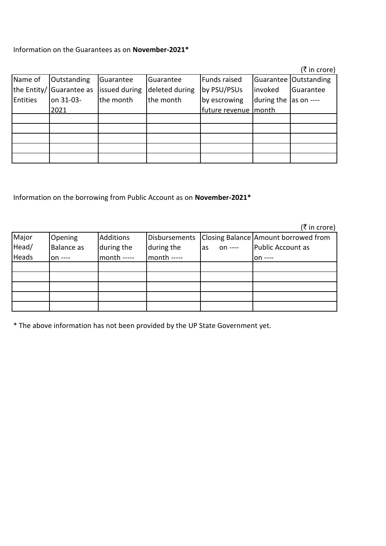Information on the Guarantees as on **November-2021\***

|             |              |               |                |                       |            | (₹ in crore)            |
|-------------|--------------|---------------|----------------|-----------------------|------------|-------------------------|
| Name of     | Outstanding  | Guarantee     | Guarantee      | Funds raised          |            | Guarantee   Outstanding |
| the Entity/ | Guarantee as | issued during | deleted during | by PSU/PSUs           | linvoked   | Guarantee               |
| Entities    | on 31-03-    | the month     | the month      | by escrowing          | during the | as on ----              |
|             | 2021         |               |                | future revenue (month |            |                         |
|             |              |               |                |                       |            |                         |
|             |              |               |                |                       |            |                         |
|             |              |               |                |                       |            |                         |
|             |              |               |                |                       |            |                         |
|             |              |               |                |                       |            |                         |

Information on the borrowing from Public Account as on **November-2021\***

|       |                   |             |               |                | (₹ in crore)                         |
|-------|-------------------|-------------|---------------|----------------|--------------------------------------|
| Major | <b>Opening</b>    | Additions   | Disbursements |                | Closing Balance Amount borrowed from |
| Head/ | <b>Balance</b> as | during the  | during the    | on ----<br>las | Public Account as                    |
| Heads | $on$ ----         | month ----- | month -----   |                | $on$ ----                            |
|       |                   |             |               |                |                                      |
|       |                   |             |               |                |                                      |
|       |                   |             |               |                |                                      |
|       |                   |             |               |                |                                      |
|       |                   |             |               |                |                                      |

\* The above information has not been provided by the UP State Government yet.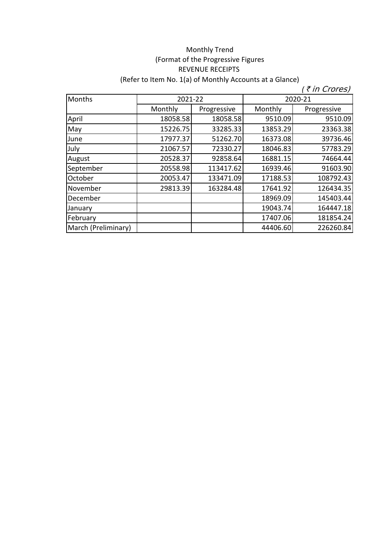## Monthly Trend (Format of the Progressive Figures REVENUE RECEIPTS (Refer to Item No. 1(a) of Monthly Accounts at a Glance)

| Months              | 2021-22  |             | 2020-21  |             |
|---------------------|----------|-------------|----------|-------------|
|                     | Monthly  | Progressive | Monthly  | Progressive |
| April               | 18058.58 | 18058.58    | 9510.09  | 9510.09     |
| May                 | 15226.75 | 33285.33    | 13853.29 | 23363.38    |
| June                | 17977.37 | 51262.70    | 16373.08 | 39736.46    |
| July                | 21067.57 | 72330.27    | 18046.83 | 57783.29    |
| August              | 20528.37 | 92858.64    | 16881.15 | 74664.44    |
| September           | 20558.98 | 113417.62   | 16939.46 | 91603.90    |
| October             | 20053.47 | 133471.09   | 17188.53 | 108792.43   |
| November            | 29813.39 | 163284.48   | 17641.92 | 126434.35   |
| December            |          |             | 18969.09 | 145403.44   |
| January             |          |             | 19043.74 | 164447.18   |
| February            |          |             | 17407.06 | 181854.24   |
| March (Preliminary) |          |             | 44406.60 | 226260.84   |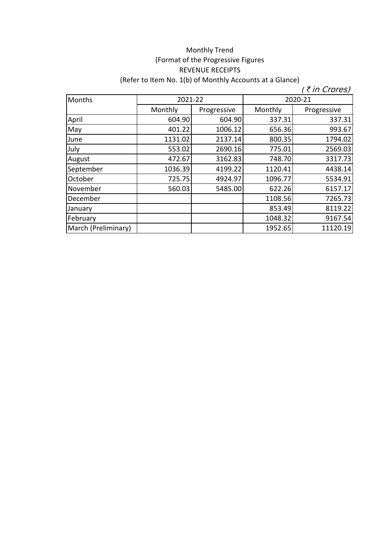## (Format of the Progressive Figures REVENUE RECEIPTS (Refer to Item No. 1(b) of Monthly Accounts at a Glance) Monthly Trend

| Months              | 2021-22 |             | 2020-21 |             |
|---------------------|---------|-------------|---------|-------------|
|                     | Monthly | Progressive | Monthly | Progressive |
| April               | 604.90  | 604.90      | 337.31  | 337.31      |
| May                 | 401.22  | 1006.12     | 656.36  | 993.67      |
| June                | 1131.02 | 2137.14     | 800.35  | 1794.02     |
| July                | 553.02  | 2690.16     | 775.01  | 2569.03     |
| August              | 472.67  | 3162.83     | 748.70  | 3317.73     |
| September           | 1036.39 | 4199.22     | 1120.41 | 4438.14     |
| October             | 725.75  | 4924.97     | 1096.77 | 5534.91     |
| November            | 560.03  | 5485.00     | 622.26  | 6157.17     |
| December            |         |             | 1108.56 | 7265.73     |
| January             |         |             | 853.49  | 8119.22     |
| February            |         |             | 1048.32 | 9167.54     |
| March (Preliminary) |         |             | 1952.65 | 11120.19    |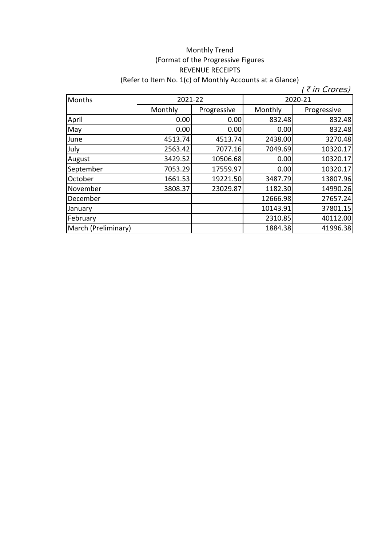## Monthly Trend (Format of the Progressive Figures REVENUE RECEIPTS (Refer to Item No. 1(c) of Monthly Accounts at a Glance)

| <b>Months</b>       | 2021-22 |             | 2020-21  |             |
|---------------------|---------|-------------|----------|-------------|
|                     | Monthly | Progressive | Monthly  | Progressive |
| April               | 0.00    | 0.00        | 832.48   | 832.48      |
| May                 | 0.00    | 0.00        | 0.00     | 832.48      |
| June                | 4513.74 | 4513.74     | 2438.00  | 3270.48     |
| July                | 2563.42 | 7077.16     | 7049.69  | 10320.17    |
| August              | 3429.52 | 10506.68    | 0.00     | 10320.17    |
| September           | 7053.29 | 17559.97    | 0.00     | 10320.17    |
| October             | 1661.53 | 19221.50    | 3487.79  | 13807.96    |
| November            | 3808.37 | 23029.87    | 1182.30  | 14990.26    |
| December            |         |             | 12666.98 | 27657.24    |
| January             |         |             | 10143.91 | 37801.15    |
| February            |         |             | 2310.85  | 40112.00    |
| March (Preliminary) |         |             | 1884.38  | 41996.38    |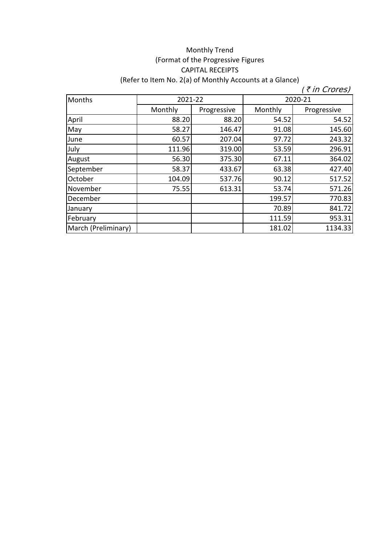## Monthly Trend (Format of the Progressive Figures CAPITAL RECEIPTS (Refer to Item No. 2(a) of Monthly Accounts at a Glance)

| Months              | 2021-22 |             | 2020-21 |             |
|---------------------|---------|-------------|---------|-------------|
|                     | Monthly | Progressive | Monthly | Progressive |
| April               | 88.20   | 88.20       | 54.52   | 54.52       |
| May                 | 58.27   | 146.47      | 91.08   | 145.60      |
| June                | 60.57   | 207.04      | 97.72   | 243.32      |
| July                | 111.96  | 319.00      | 53.59   | 296.91      |
| August              | 56.30   | 375.30      | 67.11   | 364.02      |
| September           | 58.37   | 433.67      | 63.38   | 427.40      |
| October             | 104.09  | 537.76      | 90.12   | 517.52      |
| November            | 75.55   | 613.31      | 53.74   | 571.26      |
| December            |         |             | 199.57  | 770.83      |
| January             |         |             | 70.89   | 841.72      |
| February            |         |             | 111.59  | 953.31      |
| March (Preliminary) |         |             | 181.02  | 1134.33     |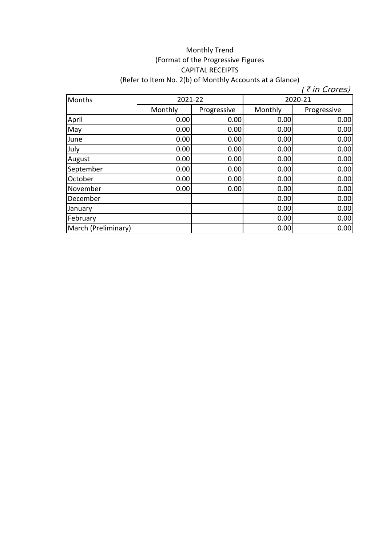## Monthly Trend (Format of the Progressive Figures CAPITAL RECEIPTS (Refer to Item No. 2(b) of Monthly Accounts at a Glance)

| <b>Months</b>       | 2021-22 |             | 2020-21 |             |
|---------------------|---------|-------------|---------|-------------|
|                     | Monthly | Progressive | Monthly | Progressive |
| April               | 0.00    | 0.00        | 0.00    | 0.00        |
| May                 | 0.00    | 0.00        | 0.00    | 0.00        |
| June                | 0.00    | 0.00        | 0.00    | 0.00        |
| July                | 0.00    | 0.00        | 0.00    | 0.00        |
| August              | 0.00    | 0.00        | 0.00    | 0.00        |
| September           | 0.00    | 0.00        | 0.00    | 0.00        |
| October             | 0.00    | 0.00        | 0.00    | 0.00        |
| November            | 0.00    | 0.00        | 0.00    | 0.00        |
| December            |         |             | 0.00    | 0.00        |
| January             |         |             | 0.00    | 0.00        |
| February            |         |             | 0.00    | 0.00        |
| March (Preliminary) |         |             | 0.00    | 0.00        |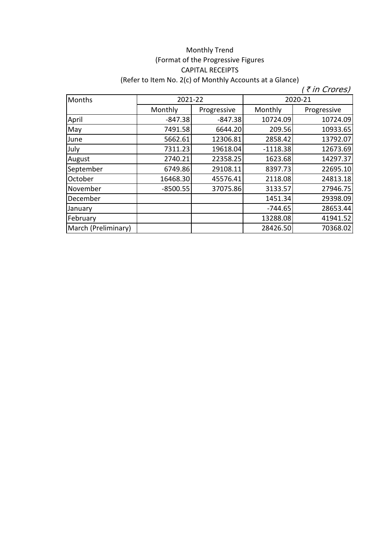## Monthly Trend (Format of the Progressive Figures CAPITAL RECEIPTS (Refer to Item No. 2(c) of Monthly Accounts at a Glance)

| <b>Months</b>       | 2021-22    |             | 2020-21    |             |
|---------------------|------------|-------------|------------|-------------|
|                     | Monthly    | Progressive | Monthly    | Progressive |
| April               | $-847.38$  | $-847.38$   | 10724.09   | 10724.09    |
| May                 | 7491.58    | 6644.20     | 209.56     | 10933.65    |
| June                | 5662.61    | 12306.81    | 2858.42    | 13792.07    |
| July                | 7311.23    | 19618.04    | $-1118.38$ | 12673.69    |
| August              | 2740.21    | 22358.25    | 1623.68    | 14297.37    |
| September           | 6749.86    | 29108.11    | 8397.73    | 22695.10    |
| October             | 16468.30   | 45576.41    | 2118.08    | 24813.18    |
| November            | $-8500.55$ | 37075.86    | 3133.57    | 27946.75    |
| December            |            |             | 1451.34    | 29398.09    |
| January             |            |             | $-744.65$  | 28653.44    |
| February            |            |             | 13288.08   | 41941.52    |
| March (Preliminary) |            |             | 28426.50   | 70368.02    |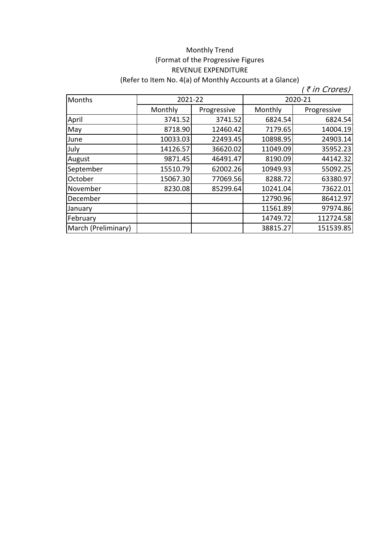## Monthly Trend (Format of the Progressive Figures REVENUE EXPENDITURE (Refer to Item No. 4(a) of Monthly Accounts at a Glance)

| Months              | 2021-22  |             | 2020-21  |             |
|---------------------|----------|-------------|----------|-------------|
|                     | Monthly  | Progressive | Monthly  | Progressive |
| April               | 3741.52  | 3741.52     | 6824.54  | 6824.54     |
| May                 | 8718.90  | 12460.42    | 7179.65  | 14004.19    |
| June                | 10033.03 | 22493.45    | 10898.95 | 24903.14    |
| July                | 14126.57 | 36620.02    | 11049.09 | 35952.23    |
| August              | 9871.45  | 46491.47    | 8190.09  | 44142.32    |
| September           | 15510.79 | 62002.26    | 10949.93 | 55092.25    |
| October             | 15067.30 | 77069.56    | 8288.72  | 63380.97    |
| November            | 8230.08  | 85299.64    | 10241.04 | 73622.01    |
| December            |          |             | 12790.96 | 86412.97    |
| January             |          |             | 11561.89 | 97974.86    |
| February            |          |             | 14749.72 | 112724.58   |
| March (Preliminary) |          |             | 38815.27 | 151539.85   |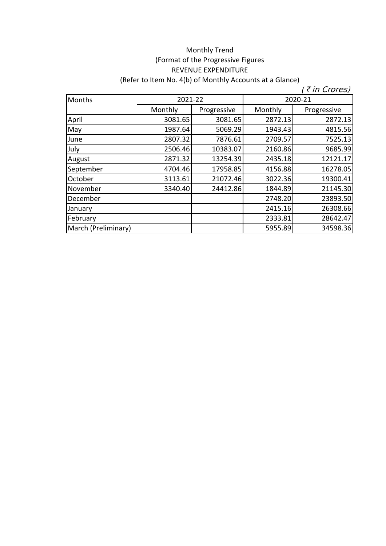## Monthly Trend (Format of the Progressive Figures REVENUE EXPENDITURE (Refer to Item No. 4(b) of Monthly Accounts at a Glance)

| Months              | 2021-22 |             | 2020-21 |             |
|---------------------|---------|-------------|---------|-------------|
|                     | Monthly | Progressive | Monthly | Progressive |
| April               | 3081.65 | 3081.65     | 2872.13 | 2872.13     |
| May                 | 1987.64 | 5069.29     | 1943.43 | 4815.56     |
| June                | 2807.32 | 7876.61     | 2709.57 | 7525.13     |
| July                | 2506.46 | 10383.07    | 2160.86 | 9685.99     |
| August              | 2871.32 | 13254.39    | 2435.18 | 12121.17    |
| September           | 4704.46 | 17958.85    | 4156.88 | 16278.05    |
| October             | 3113.61 | 21072.46    | 3022.36 | 19300.41    |
| November            | 3340.40 | 24412.86    | 1844.89 | 21145.30    |
| December            |         |             | 2748.20 | 23893.50    |
| January             |         |             | 2415.16 | 26308.66    |
| February            |         |             | 2333.81 | 28642.47    |
| March (Preliminary) |         |             | 5955.89 | 34598.36    |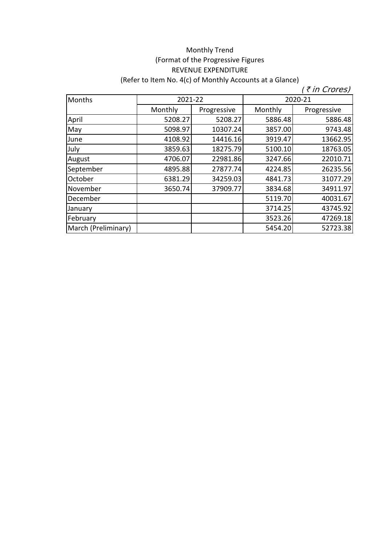## Monthly Trend (Format of the Progressive Figures REVENUE EXPENDITURE (Refer to Item No. 4(c) of Monthly Accounts at a Glance)

| Months              | 2021-22 |             | 2020-21 |             |
|---------------------|---------|-------------|---------|-------------|
|                     | Monthly | Progressive | Monthly | Progressive |
| April               | 5208.27 | 5208.27     | 5886.48 | 5886.48     |
| May                 | 5098.97 | 10307.24    | 3857.00 | 9743.48     |
| June                | 4108.92 | 14416.16    | 3919.47 | 13662.95    |
| July                | 3859.63 | 18275.79    | 5100.10 | 18763.05    |
| August              | 4706.07 | 22981.86    | 3247.66 | 22010.71    |
| September           | 4895.88 | 27877.74    | 4224.85 | 26235.56    |
| October             | 6381.29 | 34259.03    | 4841.73 | 31077.29    |
| November            | 3650.74 | 37909.77    | 3834.68 | 34911.97    |
| December            |         |             | 5119.70 | 40031.67    |
| January             |         |             | 3714.25 | 43745.92    |
| February            |         |             | 3523.26 | 47269.18    |
| March (Preliminary) |         |             | 5454.20 | 52723.38    |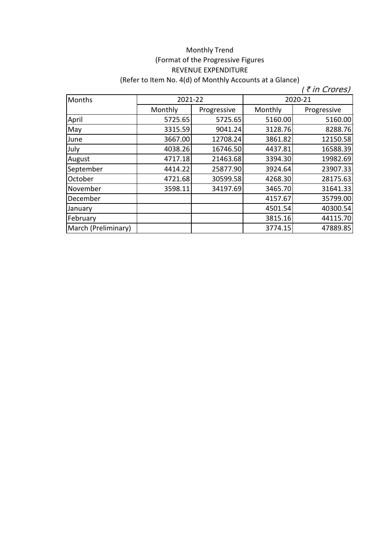# Monthly Trend (Format of the Progressive Figures REVENUE EXPENDITURE (Refer to Item No. 4(d) of Monthly Accounts at a Glance)

| Months              | 2021-22 |             | 2020-21 |             |
|---------------------|---------|-------------|---------|-------------|
|                     | Monthly | Progressive | Monthly | Progressive |
| April               | 5725.65 | 5725.65     | 5160.00 | 5160.00     |
| May                 | 3315.59 | 9041.24     | 3128.76 | 8288.76     |
| June                | 3667.00 | 12708.24    | 3861.82 | 12150.58    |
| July                | 4038.26 | 16746.50    | 4437.81 | 16588.39    |
| August              | 4717.18 | 21463.68    | 3394.30 | 19982.69    |
| September           | 4414.22 | 25877.90    | 3924.64 | 23907.33    |
| October             | 4721.68 | 30599.58    | 4268.30 | 28175.63    |
| November            | 3598.11 | 34197.69    | 3465.70 | 31641.33    |
| December            |         |             | 4157.67 | 35799.00    |
| January             |         |             | 4501.54 | 40300.54    |
| February            |         |             | 3815.16 | 44115.70    |
| March (Preliminary) |         |             | 3774.15 | 47889.85    |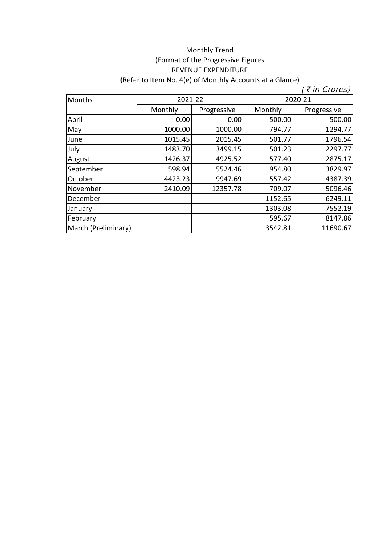## Monthly Trend (Format of the Progressive Figures REVENUE EXPENDITURE (Refer to Item No. 4(e) of Monthly Accounts at a Glance)

| Months              | 2021-22 |             | 2020-21 |             |
|---------------------|---------|-------------|---------|-------------|
|                     | Monthly | Progressive | Monthly | Progressive |
| April               | 0.00    | 0.00        | 500.00  | 500.00      |
| May                 | 1000.00 | 1000.00     | 794.77  | 1294.77     |
| June                | 1015.45 | 2015.45     | 501.77  | 1796.54     |
| July                | 1483.70 | 3499.15     | 501.23  | 2297.77     |
| August              | 1426.37 | 4925.52     | 577.40  | 2875.17     |
| September           | 598.94  | 5524.46     | 954.80  | 3829.97     |
| October             | 4423.23 | 9947.69     | 557.42  | 4387.39     |
| November            | 2410.09 | 12357.78    | 709.07  | 5096.46     |
| December            |         |             | 1152.65 | 6249.11     |
| January             |         |             | 1303.08 | 7552.19     |
| February            |         |             | 595.67  | 8147.86     |
| March (Preliminary) |         |             | 3542.81 | 11690.67    |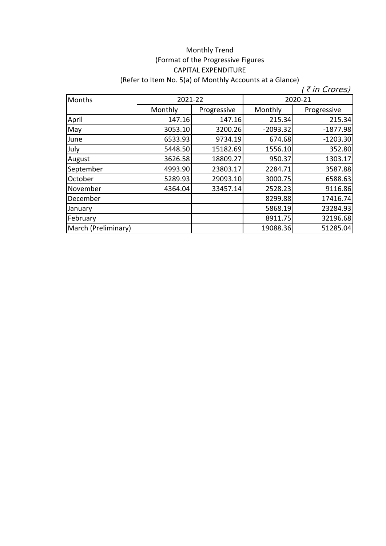## Monthly Trend (Format of the Progressive Figures CAPITAL EXPENDITURE (Refer to Item No. 5(a) of Monthly Accounts at a Glance)

| Months              | 2021-22 |             | 2020-21    |             |
|---------------------|---------|-------------|------------|-------------|
|                     | Monthly | Progressive | Monthly    | Progressive |
| April               | 147.16  | 147.16      | 215.34     | 215.34      |
| May                 | 3053.10 | 3200.26     | $-2093.32$ | $-1877.98$  |
| June                | 6533.93 | 9734.19     | 674.68     | $-1203.30$  |
| July                | 5448.50 | 15182.69    | 1556.10    | 352.80      |
| August              | 3626.58 | 18809.27    | 950.37     | 1303.17     |
| September           | 4993.90 | 23803.17    | 2284.71    | 3587.88     |
| October             | 5289.93 | 29093.10    | 3000.75    | 6588.63     |
| November            | 4364.04 | 33457.14    | 2528.23    | 9116.86     |
| December            |         |             | 8299.88    | 17416.74    |
| January             |         |             | 5868.19    | 23284.93    |
| February            |         |             | 8911.75    | 32196.68    |
| March (Preliminary) |         |             | 19088.36   | 51285.04    |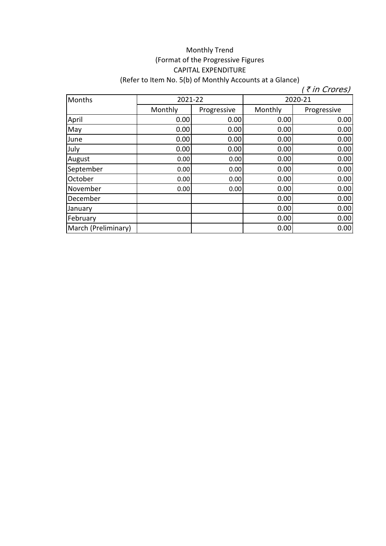## Monthly Trend (Format of the Progressive Figures CAPITAL EXPENDITURE (Refer to Item No. 5(b) of Monthly Accounts at a Glance)

| Months              | 2021-22 |             | 2020-21 |             |
|---------------------|---------|-------------|---------|-------------|
|                     | Monthly | Progressive | Monthly | Progressive |
| April               | 0.00    | 0.00        | 0.00    | 0.00        |
| May                 | 0.00    | 0.00        | 0.00    | 0.00        |
| June                | 0.00    | 0.00        | 0.00    | 0.00        |
| July                | 0.00    | 0.00        | 0.00    | 0.00        |
| August              | 0.00    | 0.00        | 0.00    | 0.00        |
| September           | 0.00    | 0.00        | 0.00    | 0.00        |
| October             | 0.00    | 0.00        | 0.00    | 0.00        |
| November            | 0.00    | 0.00        | 0.00    | 0.00        |
| December            |         |             | 0.00    | 0.00        |
| January             |         |             | 0.00    | 0.00        |
| February            |         |             | 0.00    | 0.00        |
| March (Preliminary) |         |             | 0.00    | 0.00        |